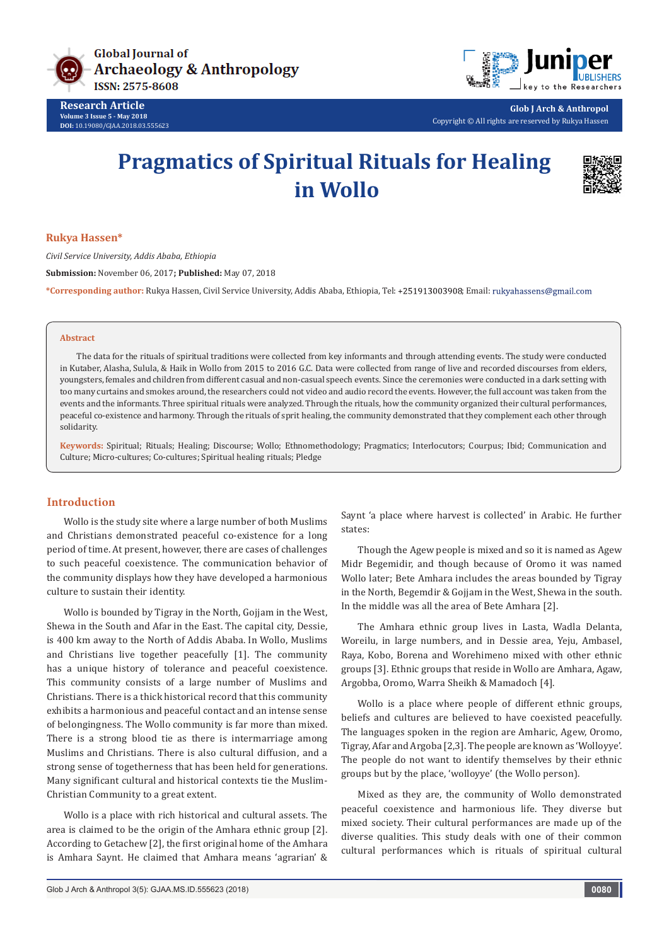

**Research Article Volume 3 Issue 5 - May 2018 DOI:** [10.19080/GJAA.2018.03.555623](http://dx.doi.org/10.19080/GJAA.2018.03.555623)



**Glob J Arch & Anthropol** Copyright © All rights are reserved by Rukya Hassen

# **Pragmatics of Spiritual Rituals for Healing in Wollo**



#### **Rukya Hassen\***

*Civil Service University, Addis Ababa, Ethiopia*

**Submission:** November 06, 2017**; Published:** May 07, 2018

\*Corresponding author: Rukya Hassen, Civil Service University, Addis Ababa, Ethiopia, Tel: +251913003908; Email: rukyahassens@gmail.com

#### **Abstract**

The data for the rituals of spiritual traditions were collected from key informants and through attending events. The study were conducted in Kutaber, Alasha, Sulula, & Haik in Wollo from 2015 to 2016 G.C. Data were collected from range of live and recorded discourses from elders, youngsters, females and children from different casual and non-casual speech events. Since the ceremonies were conducted in a dark setting with too many curtains and smokes around, the researchers could not video and audio record the events. However, the full account was taken from the events and the informants. Three spiritual rituals were analyzed. Through the rituals, how the community organized their cultural performances, peaceful co-existence and harmony. Through the rituals of sprit healing, the community demonstrated that they complement each other through solidarity.

**Keywords:** Spiritual; Rituals; Healing; Discourse; Wollo; Ethnomethodology; Pragmatics; Interlocutors; Courpus; Ibid; Communication and Culture; Micro-cultures; Co-cultures; Spiritual healing rituals; Pledge

## **Introduction**

Wollo is the study site where a large number of both Muslims and Christians demonstrated peaceful co-existence for a long period of time. At present, however, there are cases of challenges to such peaceful coexistence. The communication behavior of the community displays how they have developed a harmonious culture to sustain their identity.

Wollo is bounded by Tigray in the North, Gojjam in the West, Shewa in the South and Afar in the East. The capital city, Dessie, is 400 km away to the North of Addis Ababa. In Wollo, Muslims and Christians live together peacefully [1]. The community has a unique history of tolerance and peaceful coexistence. This community consists of a large number of Muslims and Christians. There is a thick historical record that this community exhibits a harmonious and peaceful contact and an intense sense of belongingness. The Wollo community is far more than mixed. There is a strong blood tie as there is intermarriage among Muslims and Christians. There is also cultural diffusion, and a strong sense of togetherness that has been held for generations. Many significant cultural and historical contexts tie the Muslim-Christian Community to a great extent.

Wollo is a place with rich historical and cultural assets. The area is claimed to be the origin of the Amhara ethnic group [2]. According to Getachew [2], the first original home of the Amhara is Amhara Saynt. He claimed that Amhara means 'agrarian' &

Saynt 'a place where harvest is collected' in Arabic. He further states:

Though the Agew people is mixed and so it is named as Agew Midr Begemidir, and though because of Oromo it was named Wollo later; Bete Amhara includes the areas bounded by Tigray in the North, Begemdir & Gojjam in the West, Shewa in the south. In the middle was all the area of Bete Amhara [2].

The Amhara ethnic group lives in Lasta, Wadla Delanta, Woreilu, in large numbers, and in Dessie area, Yeju, Ambasel, Raya, Kobo, Borena and Worehimeno mixed with other ethnic groups [3]. Ethnic groups that reside in Wollo are Amhara, Agaw, Argobba, Oromo, Warra Sheikh & Mamadoch [4].

Wollo is a place where people of different ethnic groups, beliefs and cultures are believed to have coexisted peacefully. The languages spoken in the region are Amharic, Agew, Oromo, Tigray, Afar and Argoba [2,3]. The people are known as 'Wolloyye'. The people do not want to identify themselves by their ethnic groups but by the place, 'wolloyye' (the Wollo person).

Mixed as they are, the community of Wollo demonstrated peaceful coexistence and harmonious life. They diverse but mixed society. Their cultural performances are made up of the diverse qualities. This study deals with one of their common cultural performances which is rituals of spiritual cultural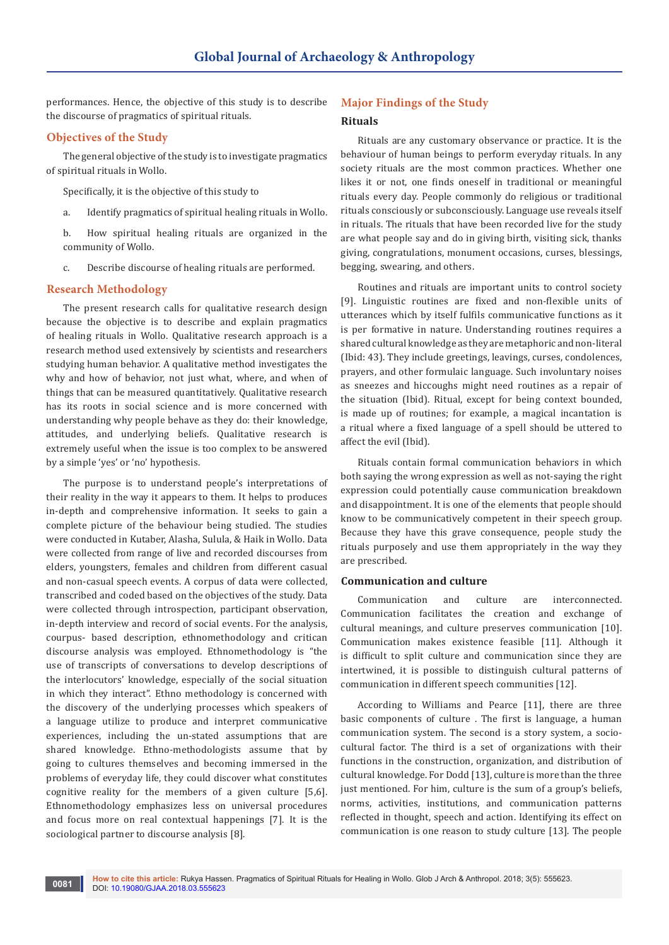performances. Hence, the objective of this study is to describe the discourse of pragmatics of spiritual rituals.

## **Objectives of the Study**

The general objective of the study is to investigate pragmatics of spiritual rituals in Wollo.

Specifically, it is the objective of this study to

- a. Identify pragmatics of spiritual healing rituals in Wollo.
- b. How spiritual healing rituals are organized in the community of Wollo.
- c. Describe discourse of healing rituals are performed.

#### **Research Methodology**

The present research calls for qualitative research design because the objective is to describe and explain pragmatics of healing rituals in Wollo. Qualitative research approach is a research method used extensively by scientists and researchers studying human behavior. A qualitative method investigates the why and how of behavior, not just what, where, and when of things that can be measured quantitatively. Qualitative research has its roots in social science and is more concerned with understanding why people behave as they do: their knowledge, attitudes, and underlying beliefs. Qualitative research is extremely useful when the issue is too complex to be answered by a simple 'yes' or 'no' hypothesis.

The purpose is to understand people's interpretations of their reality in the way it appears to them. It helps to produces in-depth and comprehensive information. It seeks to gain a complete picture of the behaviour being studied. The studies were conducted in Kutaber, Alasha, Sulula, & Haik in Wollo. Data were collected from range of live and recorded discourses from elders, youngsters, females and children from different casual and non-casual speech events. A corpus of data were collected, transcribed and coded based on the objectives of the study. Data were collected through introspection, participant observation, in-depth interview and record of social events. For the analysis, courpus- based description, ethnomethodology and critican discourse analysis was employed. Ethnomethodology is "the use of transcripts of conversations to develop descriptions of the interlocutors' knowledge, especially of the social situation in which they interact". Ethno methodology is concerned with the discovery of the underlying processes which speakers of a language utilize to produce and interpret communicative experiences, including the un-stated assumptions that are shared knowledge. Ethno-methodologists assume that by going to cultures themselves and becoming immersed in the problems of everyday life, they could discover what constitutes cognitive reality for the members of a given culture [5,6]. Ethnomethodology emphasizes less on universal procedures and focus more on real contextual happenings [7]. It is the sociological partner to discourse analysis [8].

# **Major Findings of the Study**

#### **Rituals**

Rituals are any customary observance or practice. It is the behaviour of human beings to perform everyday rituals. In any society rituals are the most common practices. Whether one likes it or not, one finds oneself in traditional or meaningful rituals every day. People commonly do religious or traditional rituals consciously or subconsciously. Language use reveals itself in rituals. The rituals that have been recorded live for the study are what people say and do in giving birth, visiting sick, thanks giving, congratulations, monument occasions, curses, blessings, begging, swearing, and others.

Routines and rituals are important units to control society [9]. Linguistic routines are fixed and non-flexible units of utterances which by itself fulfils communicative functions as it is per formative in nature. Understanding routines requires a shared cultural knowledge as they are metaphoric and non-literal (Ibid: 43). They include greetings, leavings, curses, condolences, prayers, and other formulaic language. Such involuntary noises as sneezes and hiccoughs might need routines as a repair of the situation (Ibid). Ritual, except for being context bounded, is made up of routines; for example, a magical incantation is a ritual where a fixed language of a spell should be uttered to affect the evil (Ibid).

Rituals contain formal communication behaviors in which both saying the wrong expression as well as not-saying the right expression could potentially cause communication breakdown and disappointment. It is one of the elements that people should know to be communicatively competent in their speech group. Because they have this grave consequence, people study the rituals purposely and use them appropriately in the way they are prescribed.

### **Communication and culture**

Communication and culture are interconnected. Communication facilitates the creation and exchange of cultural meanings, and culture preserves communication [10]. Communication makes existence feasible [11]. Although it is difficult to split culture and communication since they are intertwined, it is possible to distinguish cultural patterns of communication in different speech communities [12].

According to Williams and Pearce [11], there are three basic components of culture . The first is language, a human communication system. The second is a story system, a sociocultural factor. The third is a set of organizations with their functions in the construction, organization, and distribution of cultural knowledge. For Dodd [13], culture is more than the three just mentioned. For him, culture is the sum of a group's beliefs, norms, activities, institutions, and communication patterns reflected in thought, speech and action. Identifying its effect on communication is one reason to study culture [13]. The people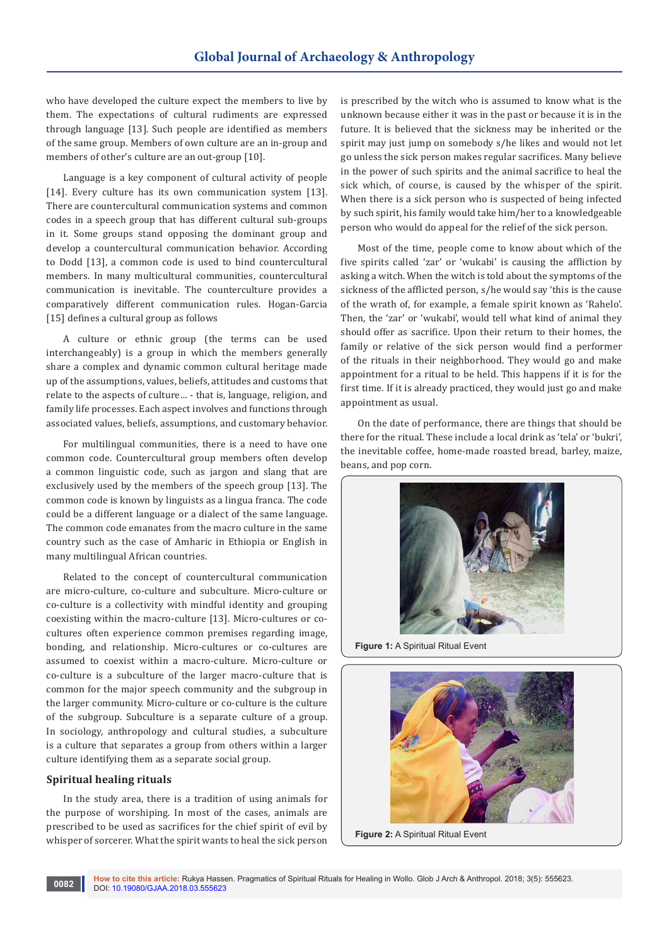who have developed the culture expect the members to live by them. The expectations of cultural rudiments are expressed through language [13]. Such people are identified as members of the same group. Members of own culture are an in-group and members of other's culture are an out-group [10].

Language is a key component of cultural activity of people [14]. Every culture has its own communication system [13]. There are countercultural communication systems and common codes in a speech group that has different cultural sub-groups in it. Some groups stand opposing the dominant group and develop a countercultural communication behavior. According to Dodd [13], a common code is used to bind countercultural members. In many multicultural communities, countercultural communication is inevitable. The counterculture provides a comparatively different communication rules. Hogan-Garcia [15] defines a cultural group as follows

A culture or ethnic group (the terms can be used interchangeably) is a group in which the members generally share a complex and dynamic common cultural heritage made up of the assumptions, values, beliefs, attitudes and customs that relate to the aspects of culture… - that is, language, religion, and family life processes. Each aspect involves and functions through associated values, beliefs, assumptions, and customary behavior.

For multilingual communities, there is a need to have one common code. Countercultural group members often develop a common linguistic code, such as jargon and slang that are exclusively used by the members of the speech group [13]. The common code is known by linguists as a lingua franca. The code could be a different language or a dialect of the same language. The common code emanates from the macro culture in the same country such as the case of Amharic in Ethiopia or English in many multilingual African countries.

Related to the concept of countercultural communication are micro-culture, co-culture and subculture. Micro-culture or co-culture is a collectivity with mindful identity and grouping coexisting within the macro-culture [13]. Micro-cultures or cocultures often experience common premises regarding image, bonding, and relationship. Micro-cultures or co-cultures are assumed to coexist within a macro-culture. Micro-culture or co-culture is a subculture of the larger macro-culture that is common for the major speech community and the subgroup in the larger community. Micro-culture or co-culture is the culture of the subgroup. Subculture is a separate culture of a group. In sociology, anthropology and cultural studies, a subculture is a culture that separates a group from others within a larger culture identifying them as a separate social group.

### **Spiritual healing rituals**

In the study area, there is a tradition of using animals for the purpose of worshiping. In most of the cases, animals are prescribed to be used as sacrifices for the chief spirit of evil by whisper of sorcerer. What the spirit wants to heal the sick person

is prescribed by the witch who is assumed to know what is the unknown because either it was in the past or because it is in the future. It is believed that the sickness may be inherited or the spirit may just jump on somebody s/he likes and would not let go unless the sick person makes regular sacrifices. Many believe in the power of such spirits and the animal sacrifice to heal the sick which, of course, is caused by the whisper of the spirit. When there is a sick person who is suspected of being infected by such spirit, his family would take him/her to a knowledgeable person who would do appeal for the relief of the sick person.

Most of the time, people come to know about which of the five spirits called 'zar' or 'wukabi' is causing the affliction by asking a witch. When the witch is told about the symptoms of the sickness of the afflicted person, s/he would say 'this is the cause of the wrath of, for example, a female spirit known as 'Rahelo'. Then, the 'zar' or 'wukabi', would tell what kind of animal they should offer as sacrifice. Upon their return to their homes, the family or relative of the sick person would find a performer of the rituals in their neighborhood. They would go and make appointment for a ritual to be held. This happens if it is for the first time. If it is already practiced, they would just go and make appointment as usual.

On the date of performance, there are things that should be there for the ritual. These include a local drink as 'tela' or 'bukri', the inevitable coffee, home-made roasted bread, barley, maize, beans, and pop corn.



**Figure 1:** A Spiritual Ritual Event



**Figure 2:** A Spiritual Ritual Event

**How to cite this article:** Rukya Hassen. Pragmatics of Spiritual Rituals for Healing in Wollo. Glob J Arch & Anthropol. 2018; 3(5): 555623. **0082 DOI: [10.19080/GJAA.2018.03.555623](http://dx.doi.org/10.19080/GJAA.2018.03.555623) DOI: 10.19080/GJAA.2018.03.555623**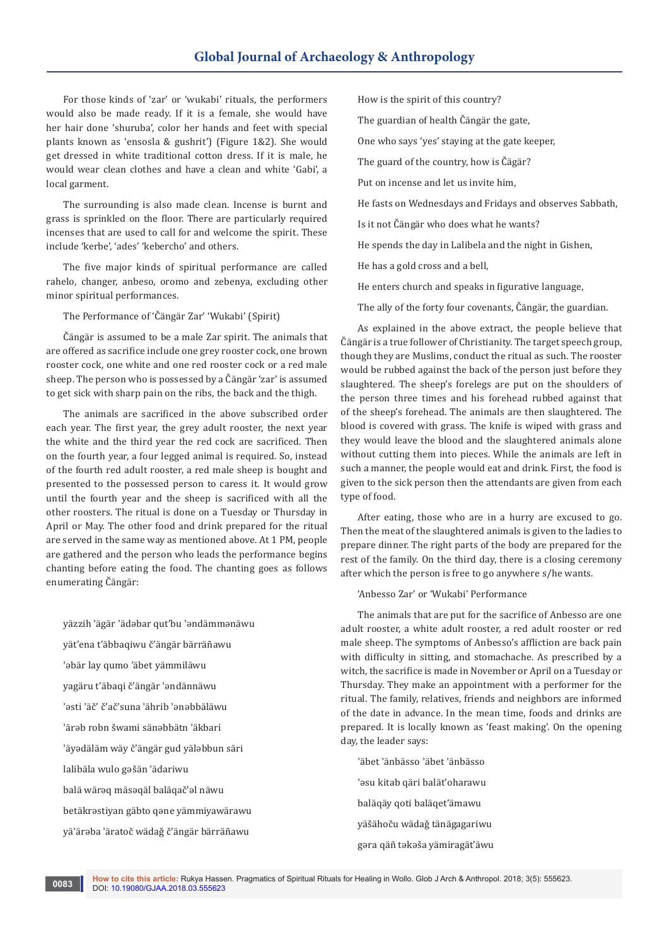For those kinds of 'zar' or 'wukabi' rituals, the performers would also be made ready. If it is a female, she would have her hair done 'shuruba', color her hands and feet with special plants known as 'ensosla & gushrit') (Figure 1&2). She would get dressed in white traditional cotton dress. If it is male, he would wear clean clothes and have a clean and white 'Gabi', a local garment.

The surrounding is also made clean. Incense is burnt and grass is sprinkled on the floor. There are particularly required incenses that are used to call for and welcome the spirit. These include 'kerbe', 'ades' 'kebercho' and others.

The five major kinds of spiritual performance are called rahelo, changer, anbeso, oromo and zebenya, excluding other minor spiritual performances.

The Performance of 'Čängär Zar' 'Wukabi' (Spirit)

Čängär is assumed to be a male Zar spirit. The animals that are offered as sacrifice include one grey rooster cock, one brown rooster cock, one white and one red rooster cock or a red male sheep. The person who is possessed by a Čängär 'zar' is assumed to get sick with sharp pain on the ribs, the back and the thigh.

The animals are sacrificed in the above subscribed order each year. The first year, the grey adult rooster, the next year the white and the third year the red cock are sacrificed. Then on the fourth year, a four legged animal is required. So, instead of the fourth red adult rooster, a red male sheep is bought and presented to the possessed person to caress it. It would grow until the fourth year and the sheep is sacrificed with all the other roosters. The ritual is done on a Tuesday or Thursday in April or May. The other food and drink prepared for the ritual are served in the same way as mentioned above. At 1 PM, people are gathered and the person who leads the performance begins chanting before eating the food. The chanting goes as follows enumerating Čängär:

yäzzih ʾägär ʾädəbar qut'bu ʾəndämmənäwu yät'ena t'äbbaqiwu č'ängär bärräñawu ʾəbär lay qumo ʾäbet yämmiläwu yagäru t'äbaqi č'ängär ʾəndännäwu ʾəsti ʾäč' č'ač'suna ʾährib ʾənəbbäläwu ʾärəb robn šwami sänəbbätn ʾäkbari ʾäyədäläm wäy č'ängär gud yäləbbun säri lalibäla wulo gəšän ʾädariwu balä wärəq mäsəqäl baläqač'əl näwu betäkrəstiyan gäbto qəne yämmiyawärawu yäʾärəba ʾäratoč wädaǧ č'ängär bärräñawu

How is the spirit of this country?

The guardian of health Čängär the gate,

One who says 'yes' staying at the gate keeper,

The guard of the country, how is Čägär?

Put on incense and let us invite him,

He fasts on Wednesdays and Fridays and observes Sabbath,

Is it not Čängär who does what he wants?

He spends the day in Lalibela and the night in Gishen,

He has a gold cross and a bell,

He enters church and speaks in figurative language,

The ally of the forty four covenants, Čängär, the guardian.

As explained in the above extract, the people believe that Čängär is a true follower of Christianity. The target speech group, though they are Muslims, conduct the ritual as such. The rooster would be rubbed against the back of the person just before they slaughtered. The sheep's forelegs are put on the shoulders of the person three times and his forehead rubbed against that of the sheep's forehead. The animals are then slaughtered. The blood is covered with grass. The knife is wiped with grass and they would leave the blood and the slaughtered animals alone without cutting them into pieces. While the animals are left in such a manner, the people would eat and drink. First, the food is given to the sick person then the attendants are given from each type of food.

After eating, those who are in a hurry are excused to go. Then the meat of the slaughtered animals is given to the ladies to prepare dinner. The right parts of the body are prepared for the rest of the family. On the third day, there is a closing ceremony after which the person is free to go anywhere s/he wants.

'Anbesso Zar' or 'Wukabi' Performance

The animals that are put for the sacrifice of Anbesso are one adult rooster, a white adult rooster, a red adult rooster or red male sheep. The symptoms of Anbesso's affliction are back pain with difficulty in sitting, and stomachache. As prescribed by a witch, the sacrifice is made in November or April on a Tuesday or Thursday. They make an appointment with a performer for the ritual. The family, relatives, friends and neighbors are informed of the date in advance. In the mean time, foods and drinks are prepared. It is locally known as 'feast making'. On the opening day, the leader says:

ʾäbet ʾänbässo ʾäbet ʾänbässo ʾəsu kitab qäri balät'oharawu baläqäy qoti baläqet'ämawu yäšähoču wädaǧ tänägagariwu gəra qäñ təkəša yämiragät'äwu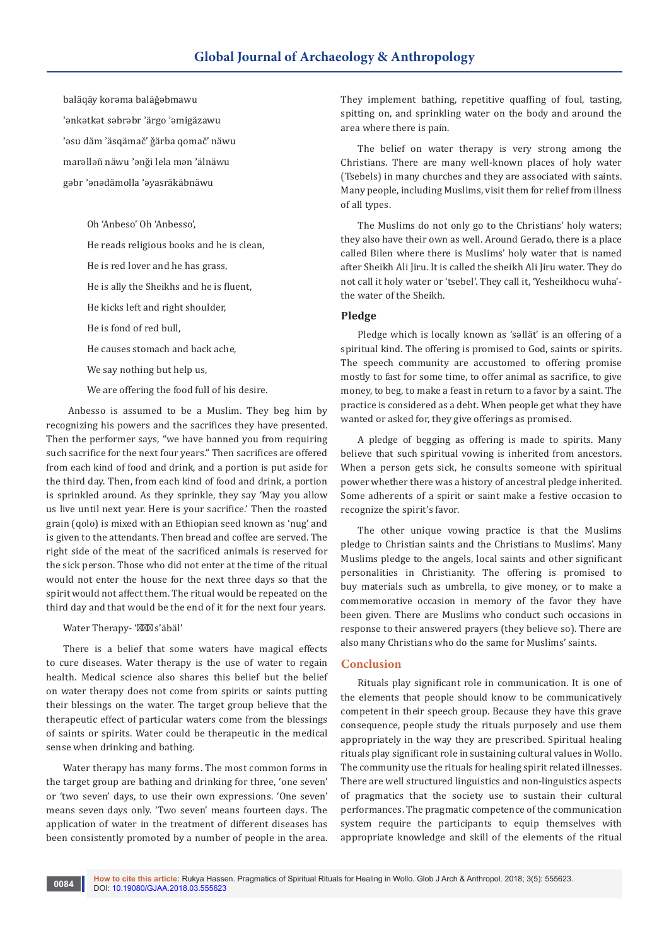baläqäy korəma baläǧəbmawu ʾənkətkət səbrəbr ʾärgo ʾəmigäzawu ʾəsu däm ʾäsqämač' ǧärba qomač' näwu marəlləñ näwu ʾənǧi lela mən ʾälnäwu gəbr ʾənədämolla ʾəyasräkäbnäwu

Oh 'Anbeso' Oh 'Anbesso',

He reads religious books and he is clean,

He is red lover and he has grass,

He is ally the Sheikhs and he is fluent,

He kicks left and right shoulder,

He is fond of red bull,

He causes stomach and back ache,

We say nothing but help us,

We are offering the food full of his desire.

 Anbesso is assumed to be a Muslim. They beg him by recognizing his powers and the sacrifices they have presented. Then the performer says, "we have banned you from requiring such sacrifice for the next four years." Then sacrifices are offered from each kind of food and drink, and a portion is put aside for the third day. Then, from each kind of food and drink, a portion is sprinkled around. As they sprinkle, they say 'May you allow us live until next year. Here is your sacrifice.' Then the roasted grain (qolo) is mixed with an Ethiopian seed known as 'nug' and is given to the attendants. Then bread and coffee are served. The right side of the meat of the sacrificed animals is reserved for the sick person. Those who did not enter at the time of the ritual would not enter the house for the next three days so that the spirit would not affect them. The ritual would be repeated on the third day and that would be the end of it for the next four years.

#### Water Therapy- ' s'äbäl'

There is a belief that some waters have magical effects to cure diseases. Water therapy is the use of water to regain health. Medical science also shares this belief but the belief on water therapy does not come from spirits or saints putting their blessings on the water. The target group believe that the therapeutic effect of particular waters come from the blessings of saints or spirits. Water could be therapeutic in the medical sense when drinking and bathing.

Water therapy has many forms. The most common forms in the target group are bathing and drinking for three, 'one seven' or 'two seven' days, to use their own expressions. 'One seven' means seven days only. 'Two seven' means fourteen days. The application of water in the treatment of different diseases has been consistently promoted by a number of people in the area.

They implement bathing, repetitive quaffing of foul, tasting, spitting on, and sprinkling water on the body and around the area where there is pain.

The belief on water therapy is very strong among the Christians. There are many well-known places of holy water (Tsebels) in many churches and they are associated with saints. Many people, including Muslims, visit them for relief from illness of all types.

The Muslims do not only go to the Christians' holy waters; they also have their own as well. Around Gerado, there is a place called Bilen where there is Muslims' holy water that is named after Sheikh Ali Jiru. It is called the sheikh Ali Jiru water. They do not call it holy water or 'tsebel'. They call it, 'Yesheikhocu wuha' the water of the Sheikh.

## **Pledge**

Pledge which is locally known as 'səllät' is an offering of a spiritual kind. The offering is promised to God, saints or spirits. The speech community are accustomed to offering promise mostly to fast for some time, to offer animal as sacrifice, to give money, to beg, to make a feast in return to a favor by a saint. The practice is considered as a debt. When people get what they have wanted or asked for, they give offerings as promised.

A pledge of begging as offering is made to spirits. Many believe that such spiritual vowing is inherited from ancestors. When a person gets sick, he consults someone with spiritual power whether there was a history of ancestral pledge inherited. Some adherents of a spirit or saint make a festive occasion to recognize the spirit's favor.

The other unique vowing practice is that the Muslims pledge to Christian saints and the Christians to Muslims'. Many Muslims pledge to the angels, local saints and other significant personalities in Christianity. The offering is promised to buy materials such as umbrella, to give money, or to make a commemorative occasion in memory of the favor they have been given. There are Muslims who conduct such occasions in response to their answered prayers (they believe so). There are also many Christians who do the same for Muslims' saints.

#### **Conclusion**

Rituals play significant role in communication. It is one of the elements that people should know to be communicatively competent in their speech group. Because they have this grave consequence, people study the rituals purposely and use them appropriately in the way they are prescribed. Spiritual healing rituals play significant role in sustaining cultural values in Wollo. The community use the rituals for healing spirit related illnesses. There are well structured linguistics and non-linguistics aspects of pragmatics that the society use to sustain their cultural performances. The pragmatic competence of the communication system require the participants to equip themselves with appropriate knowledge and skill of the elements of the ritual